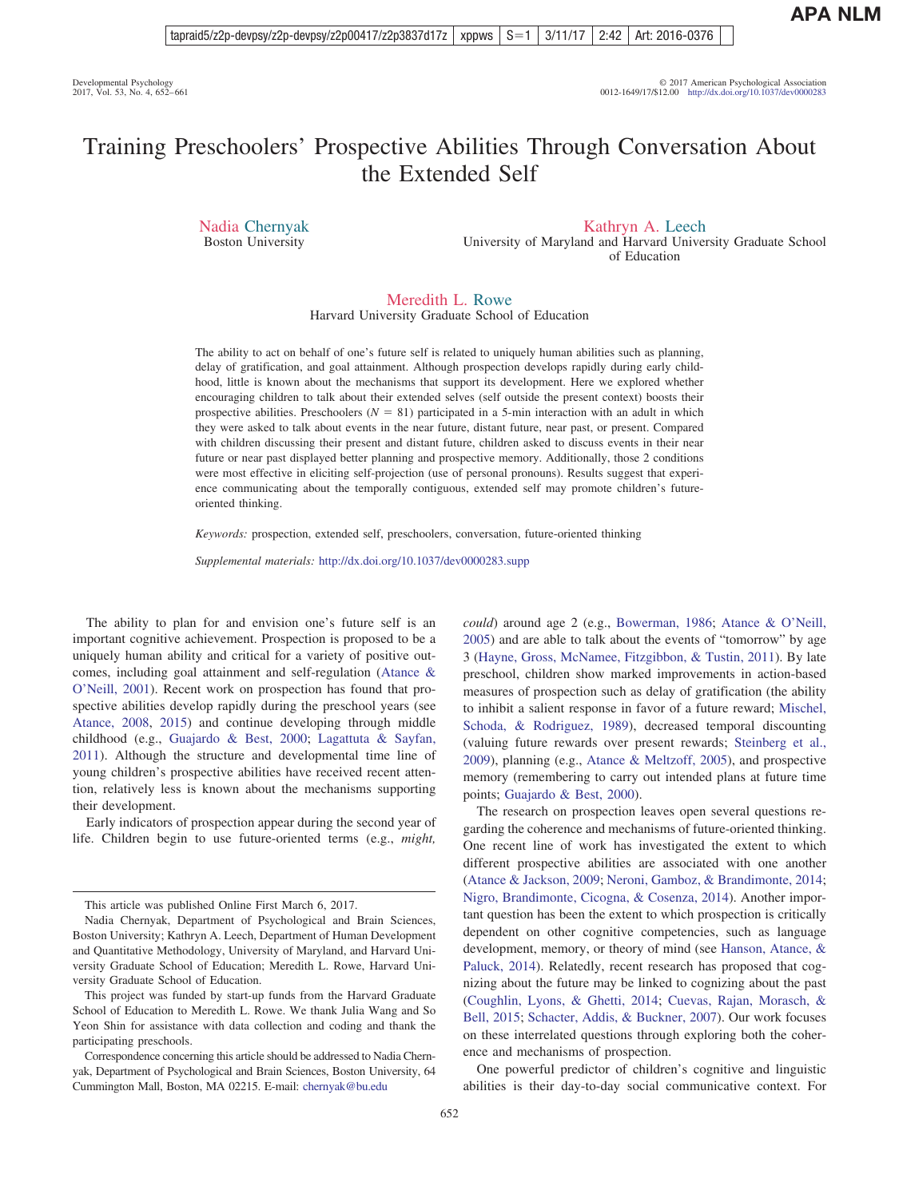# Training Preschoolers' Prospective Abilities Through Conversation About the Extended Self

Nadia Chernyak Boston University

Kathryn A. Leech

University of Maryland and Harvard University Graduate School of Education

# Meredith L. Rowe

Harvard University Graduate School of Education

The ability to act on behalf of one's future self is related to uniquely human abilities such as planning, delay of gratification, and goal attainment. Although prospection develops rapidly during early childhood, little is known about the mechanisms that support its development. Here we explored whether encouraging children to talk about their extended selves (self outside the present context) boosts their prospective abilities. Preschoolers  $(N = 81)$  participated in a 5-min interaction with an adult in which they were asked to talk about events in the near future, distant future, near past, or present. Compared with children discussing their present and distant future, children asked to discuss events in their near future or near past displayed better planning and prospective memory. Additionally, those 2 conditions were most effective in eliciting self-projection (use of personal pronouns). Results suggest that experience communicating about the temporally contiguous, extended self may promote children's futureoriented thinking.

*Keywords:* prospection, extended self, preschoolers, conversation, future-oriented thinking

*Supplemental materials:* http://dx.doi.org[/10.1037/dev0000283.supp](http://dx.doi.org/10.1037/dev0000283.supp)

The ability to plan for and envision one's future self is an important cognitive achievement. Prospection is proposed to be a uniquely human ability and critical for a variety of positive outcomes, including goal attainment and self-regulation [\(Atance &](#page-8-0) [O'Neill, 2001\)](#page-8-0). Recent work on prospection has found that prospective abilities develop rapidly during the preschool years (see [Atance, 2008,](#page-8-1) [2015\)](#page-8-2) and continue developing through middle childhood (e.g., [Guajardo & Best, 2000;](#page-8-3) [Lagattuta & Sayfan,](#page-9-0) [2011\)](#page-9-0). Although the structure and developmental time line of young children's prospective abilities have received recent attention, relatively less is known about the mechanisms supporting their development.

Early indicators of prospection appear during the second year of life. Children begin to use future-oriented terms (e.g., *might,*

*could*) around age 2 (e.g., [Bowerman, 1986;](#page-8-4) [Atance & O'Neill,](#page-8-5) [2005\)](#page-8-5) and are able to talk about the events of "tomorrow" by age 3 [\(Hayne, Gross, McNamee, Fitzgibbon, & Tustin, 2011\)](#page-9-1). By late preschool, children show marked improvements in action-based measures of prospection such as delay of gratification (the ability to inhibit a salient response in favor of a future reward; [Mischel,](#page-9-2) [Schoda, & Rodriguez, 1989\)](#page-9-2), decreased temporal discounting (valuing future rewards over present rewards; [Steinberg et al.,](#page-9-3) [2009\)](#page-9-3), planning (e.g., [Atance & Meltzoff, 2005\)](#page-8-6), and prospective memory (remembering to carry out intended plans at future time points; [Guajardo & Best, 2000\)](#page-8-3).

The research on prospection leaves open several questions regarding the coherence and mechanisms of future-oriented thinking. One recent line of work has investigated the extent to which different prospective abilities are associated with one another [\(Atance & Jackson, 2009;](#page-8-7) [Neroni, Gamboz, & Brandimonte, 2014;](#page-9-4) [Nigro, Brandimonte, Cicogna, & Cosenza, 2014\)](#page-9-5). Another important question has been the extent to which prospection is critically dependent on other cognitive competencies, such as language development, memory, or theory of mind (see [Hanson, Atance, &](#page-8-8) [Paluck, 2014\)](#page-8-8). Relatedly, recent research has proposed that cognizing about the future may be linked to cognizing about the past [\(Coughlin, Lyons, & Ghetti, 2014;](#page-8-9) [Cuevas, Rajan, Morasch, &](#page-8-10) [Bell, 2015;](#page-8-10) [Schacter, Addis, & Buckner, 2007\)](#page-9-6). Our work focuses on these interrelated questions through exploring both the coherence and mechanisms of prospection.

One powerful predictor of children's cognitive and linguistic abilities is their day-to-day social communicative context. For

This article was published Online First March 6, 2017.

Nadia Chernyak, Department of Psychological and Brain Sciences, Boston University; Kathryn A. Leech, Department of Human Development and Quantitative Methodology, University of Maryland, and Harvard University Graduate School of Education; Meredith L. Rowe, Harvard University Graduate School of Education.

This project was funded by start-up funds from the Harvard Graduate School of Education to Meredith L. Rowe. We thank Julia Wang and So Yeon Shin for assistance with data collection and coding and thank the participating preschools.

Correspondence concerning this article should be addressed to Nadia Chernyak, Department of Psychological and Brain Sciences, Boston University, 64 Cummington Mall, Boston, MA 02215. E-mail: [chernyak@bu.edu](mailto:chernyak@bu.edu)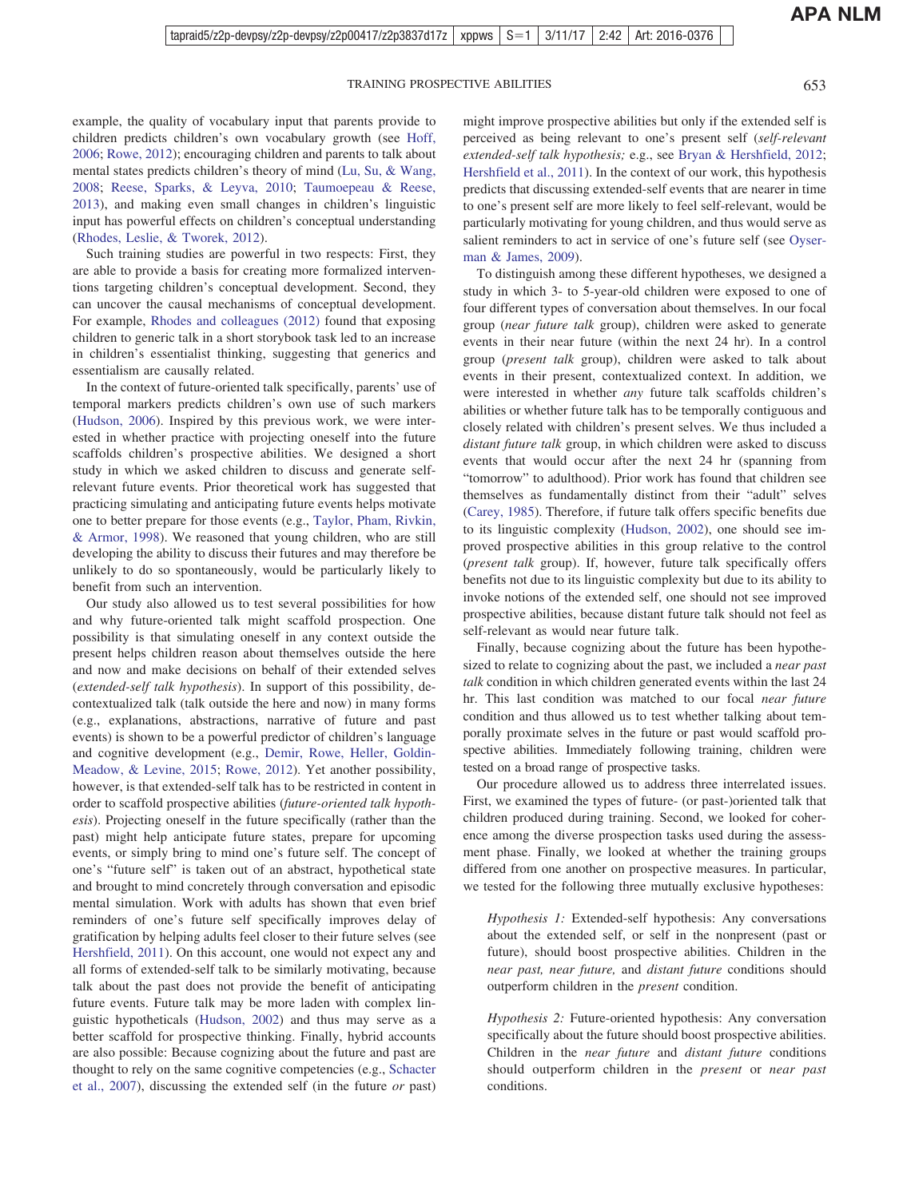**APA NLM**

example, the quality of vocabulary input that parents provide to children predicts children's own vocabulary growth (see [Hoff,](#page-9-7) [2006;](#page-9-7) [Rowe, 2012\)](#page-9-8); encouraging children and parents to talk about mental states predicts children's theory of mind [\(Lu, Su, & Wang,](#page-9-9) [2008;](#page-9-9) [Reese, Sparks, & Leyva, 2010;](#page-9-10) [Taumoepeau & Reese,](#page-9-11) [2013\)](#page-9-11), and making even small changes in children's linguistic input has powerful effects on children's conceptual understanding [\(Rhodes, Leslie, & Tworek, 2012\)](#page-9-12).

Such training studies are powerful in two respects: First, they are able to provide a basis for creating more formalized interventions targeting children's conceptual development. Second, they can uncover the causal mechanisms of conceptual development. For example, [Rhodes and colleagues \(2012\)](#page-9-12) found that exposing children to generic talk in a short storybook task led to an increase in children's essentialist thinking, suggesting that generics and essentialism are causally related.

In the context of future-oriented talk specifically, parents' use of temporal markers predicts children's own use of such markers [\(Hudson, 2006\)](#page-9-13). Inspired by this previous work, we were interested in whether practice with projecting oneself into the future scaffolds children's prospective abilities. We designed a short study in which we asked children to discuss and generate selfrelevant future events. Prior theoretical work has suggested that practicing simulating and anticipating future events helps motivate one to better prepare for those events (e.g., [Taylor, Pham, Rivkin,](#page-9-14) [& Armor, 1998\)](#page-9-14). We reasoned that young children, who are still developing the ability to discuss their futures and may therefore be unlikely to do so spontaneously, would be particularly likely to benefit from such an intervention.

Our study also allowed us to test several possibilities for how and why future-oriented talk might scaffold prospection. One possibility is that simulating oneself in any context outside the present helps children reason about themselves outside the here and now and make decisions on behalf of their extended selves (*extended-self talk hypothesis*). In support of this possibility, decontextualized talk (talk outside the here and now) in many forms (e.g., explanations, abstractions, narrative of future and past events) is shown to be a powerful predictor of children's language and cognitive development (e.g., [Demir, Rowe, Heller, Goldin-](#page-8-11)[Meadow, & Levine, 2015;](#page-8-11) [Rowe, 2012\)](#page-9-8). Yet another possibility, however, is that extended-self talk has to be restricted in content in order to scaffold prospective abilities (*future-oriented talk hypothesis*). Projecting oneself in the future specifically (rather than the past) might help anticipate future states, prepare for upcoming events, or simply bring to mind one's future self. The concept of one's "future self" is taken out of an abstract, hypothetical state and brought to mind concretely through conversation and episodic mental simulation. Work with adults has shown that even brief reminders of one's future self specifically improves delay of gratification by helping adults feel closer to their future selves (see [Hershfield, 2011\)](#page-9-15). On this account, one would not expect any and all forms of extended-self talk to be similarly motivating, because talk about the past does not provide the benefit of anticipating future events. Future talk may be more laden with complex linguistic hypotheticals [\(Hudson, 2002\)](#page-9-16) and thus may serve as a better scaffold for prospective thinking. Finally, hybrid accounts are also possible: Because cognizing about the future and past are thought to rely on the same cognitive competencies (e.g., [Schacter](#page-9-6) [et al., 2007\)](#page-9-6), discussing the extended self (in the future *or* past) might improve prospective abilities but only if the extended self is perceived as being relevant to one's present self (*self-relevant extended-self talk hypothesis;* e.g., see [Bryan & Hershfield, 2012;](#page-8-12) [Hershfield et al., 2011\)](#page-9-17). In the context of our work, this hypothesis predicts that discussing extended-self events that are nearer in time to one's present self are more likely to feel self-relevant, would be particularly motivating for young children, and thus would serve as salient reminders to act in service of one's future self (see [Oyser](#page-9-18)[man & James, 2009\)](#page-9-18).

To distinguish among these different hypotheses, we designed a study in which 3- to 5-year-old children were exposed to one of four different types of conversation about themselves. In our focal group (*near future talk* group), children were asked to generate events in their near future (within the next 24 hr). In a control group (*present talk* group), children were asked to talk about events in their present, contextualized context. In addition, we were interested in whether *any* future talk scaffolds children's abilities or whether future talk has to be temporally contiguous and closely related with children's present selves. We thus included a *distant future talk* group, in which children were asked to discuss events that would occur after the next 24 hr (spanning from "tomorrow" to adulthood). Prior work has found that children see themselves as fundamentally distinct from their "adult" selves [\(Carey, 1985\)](#page-8-13). Therefore, if future talk offers specific benefits due to its linguistic complexity [\(Hudson, 2002\)](#page-9-16), one should see improved prospective abilities in this group relative to the control (*present talk* group). If, however, future talk specifically offers benefits not due to its linguistic complexity but due to its ability to invoke notions of the extended self, one should not see improved prospective abilities, because distant future talk should not feel as self-relevant as would near future talk.

Finally, because cognizing about the future has been hypothesized to relate to cognizing about the past, we included a *near past talk* condition in which children generated events within the last 24 hr. This last condition was matched to our focal *near future* condition and thus allowed us to test whether talking about temporally proximate selves in the future or past would scaffold prospective abilities. Immediately following training, children were tested on a broad range of prospective tasks.

Our procedure allowed us to address three interrelated issues. First, we examined the types of future- (or past-)oriented talk that children produced during training. Second, we looked for coherence among the diverse prospection tasks used during the assessment phase. Finally, we looked at whether the training groups differed from one another on prospective measures. In particular, we tested for the following three mutually exclusive hypotheses:

*Hypothesis 1:* Extended-self hypothesis: Any conversations about the extended self, or self in the nonpresent (past or future), should boost prospective abilities. Children in the *near past, near future,* and *distant future* conditions should outperform children in the *present* condition.

*Hypothesis 2:* Future-oriented hypothesis: Any conversation specifically about the future should boost prospective abilities. Children in the *near future* and *distant future* conditions should outperform children in the *present* or *near past* conditions.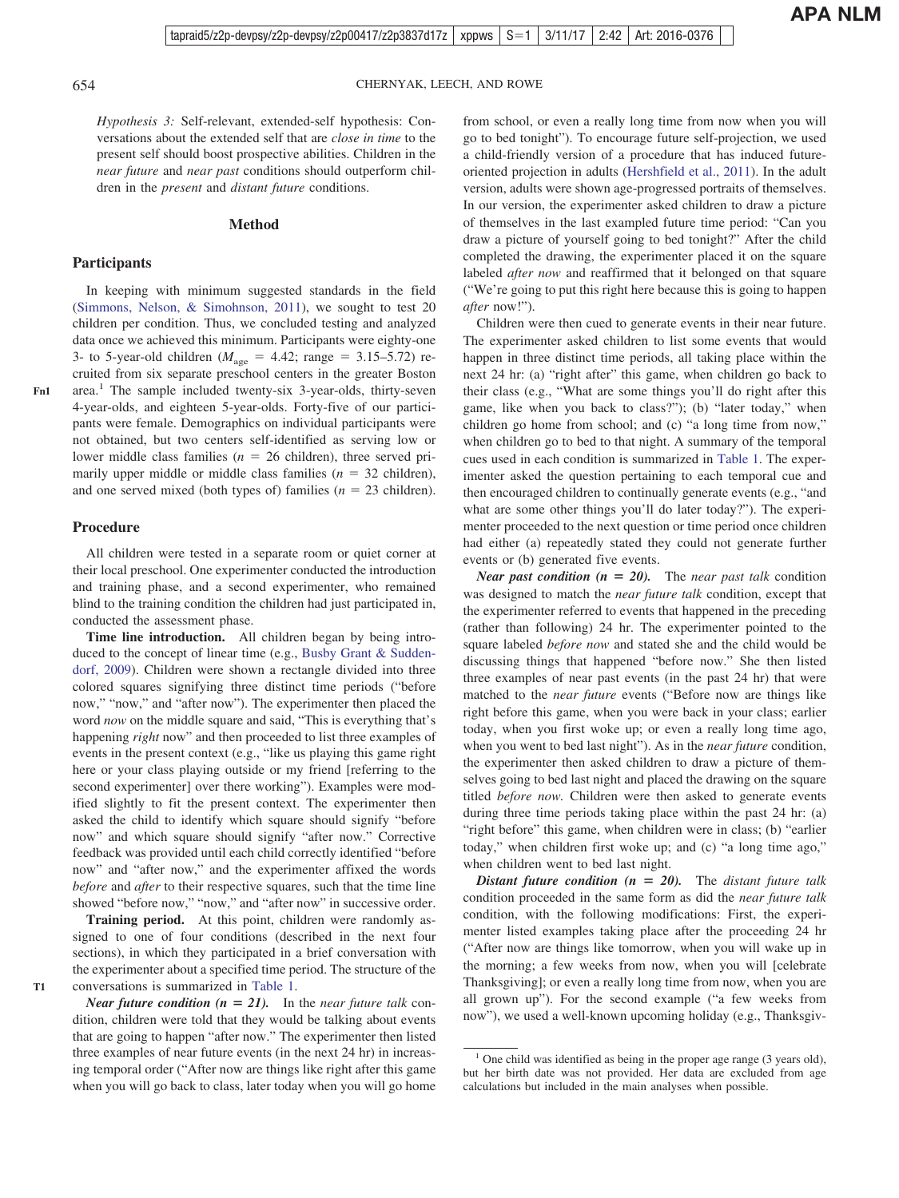*Hypothesis 3:* Self-relevant, extended-self hypothesis: Conversations about the extended self that are *close in time* to the present self should boost prospective abilities. Children in the *near future* and *near past* conditions should outperform chil-

#### **Method**

dren in the *present* and *distant future* conditions.

#### **Participants**

In keeping with minimum suggested standards in the field [\(Simmons, Nelson, & Simohnson, 2011\)](#page-9-19), we sought to test 20 children per condition. Thus, we concluded testing and analyzed data once we achieved this minimum. Participants were eighty-one 3- to 5-year-old children ( $M_{\text{age}} = 4.42$ ; range = 3.15–5.72) recruited from six separate preschool centers in the greater Boston area.1 The sample included twenty-six 3-year-olds, thirty-seven 4-year-olds, and eighteen 5-year-olds. Forty-five of our participants were female. Demographics on individual participants were not obtained, but two centers self-identified as serving low or lower middle class families  $(n = 26 \text{ children})$ , three served primarily upper middle or middle class families  $(n = 32 \text{ children})$ , and one served mixed (both types of) families  $(n = 23 \text{ children})$ .

All children were tested in a separate room or quiet corner at their local preschool. One experimenter conducted the introduction and training phase, and a second experimenter, who remained blind to the training condition the children had just participated in, conducted the assessment phase.

**Time line introduction.** All children began by being introduced to the concept of linear time (e.g., [Busby Grant & Sudden](#page-8-14)[dorf, 2009\)](#page-8-14). Children were shown a rectangle divided into three colored squares signifying three distinct time periods ("before now," "now," and "after now"). The experimenter then placed the word *now* on the middle square and said, "This is everything that's happening *right* now" and then proceeded to list three examples of events in the present context (e.g., "like us playing this game right here or your class playing outside or my friend [referring to the second experimenter] over there working"). Examples were modified slightly to fit the present context. The experimenter then asked the child to identify which square should signify "before now" and which square should signify "after now." Corrective feedback was provided until each child correctly identified "before now" and "after now," and the experimenter affixed the words *before* and *after* to their respective squares, such that the time line showed "before now," "now," and "after now" in successive order.

**Training period.** At this point, children were randomly assigned to one of four conditions (described in the next four sections), in which they participated in a brief conversation with the experimenter about a specified time period. The structure of the conversations is summarized in [Table 1.](#page-3-0)

from school, or even a really long time from now when you will go to bed tonight"). To encourage future self-projection, we used a child-friendly version of a procedure that has induced futureoriented projection in adults [\(Hershfield et al., 2011\)](#page-9-17). In the adult version, adults were shown age-progressed portraits of themselves. In our version, the experimenter asked children to draw a picture of themselves in the last exampled future time period: "Can you draw a picture of yourself going to bed tonight?" After the child completed the drawing, the experimenter placed it on the square labeled *after now* and reaffirmed that it belonged on that square ("We're going to put this right here because this is going to happen *after* now!").

Children were then cued to generate events in their near future. The experimenter asked children to list some events that would happen in three distinct time periods, all taking place within the next 24 hr: (a) "right after" this game, when children go back to their class (e.g., "What are some things you'll do right after this game, like when you back to class?"); (b) "later today," when children go home from school; and (c) "a long time from now," when children go to bed to that night. A summary of the temporal cues used in each condition is summarized in [Table 1.](#page-3-0) The experimenter asked the question pertaining to each temporal cue and then encouraged children to continually generate events (e.g., "and what are some other things you'll do later today?"). The experimenter proceeded to the next question or time period once children had either (a) repeatedly stated they could not generate further events or (b) generated five events.

*Near past condition* ( $n = 20$ ). The *near past talk* condition was designed to match the *near future talk* condition, except that the experimenter referred to events that happened in the preceding (rather than following) 24 hr. The experimenter pointed to the square labeled *before now* and stated she and the child would be discussing things that happened "before now." She then listed three examples of near past events (in the past 24 hr) that were matched to the *near future* events ("Before now are things like right before this game, when you were back in your class; earlier today, when you first woke up; or even a really long time ago, when you went to bed last night"). As in the *near future* condition, the experimenter then asked children to draw a picture of themselves going to bed last night and placed the drawing on the square titled *before now.* Children were then asked to generate events during three time periods taking place within the past 24 hr: (a) "right before" this game, when children were in class; (b) "earlier today," when children first woke up; and (c) "a long time ago," when children went to bed last night.

*Distant future condition (n = 20).* The *distant future talk* condition proceeded in the same form as did the *near future talk* condition, with the following modifications: First, the experimenter listed examples taking place after the proceeding 24 hr ("After now are things like tomorrow, when you will wake up in the morning; a few weeks from now, when you will [celebrate Thanksgiving]; or even a really long time from now, when you are all grown up"). For the second example ("a few weeks from now"), we used a well-known upcoming holiday (e.g., Thanksgiv-

**T1**

 $1$  One child was identified as being in the proper age range (3 years old), but her birth date was not provided. Her data are excluded from age calculations but included in the main analyses when possible.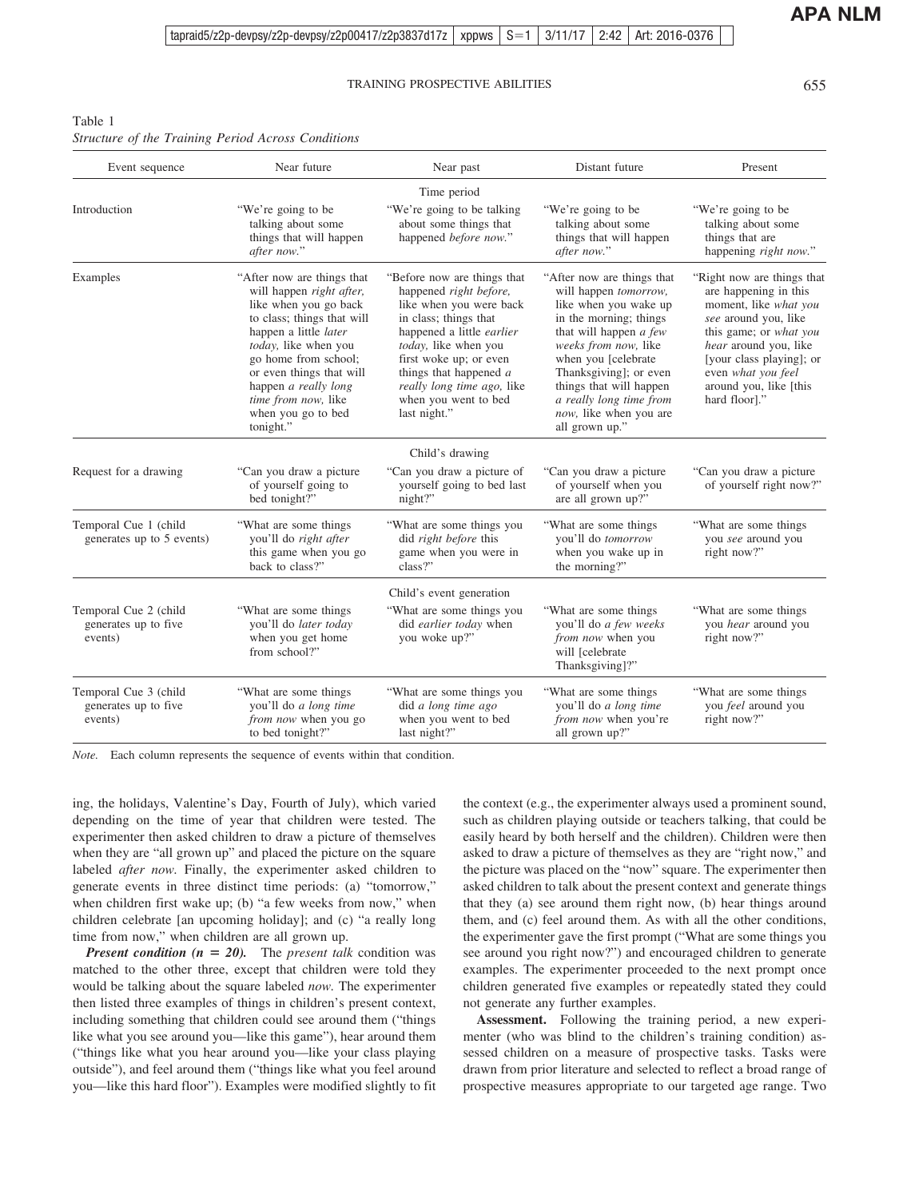# <span id="page-3-0"></span>Table 1 *Structure of the Training Period Across Conditions*

| Event sequence                                           | Near future                                                                                                                                                                                                                                                                                                         | Near past                                                                                                                                                                                                                                                                                  | Distant future                                                                                                                                                                                                                                                                                                      | Present                                                                                                                                                                                                                                              |  |
|----------------------------------------------------------|---------------------------------------------------------------------------------------------------------------------------------------------------------------------------------------------------------------------------------------------------------------------------------------------------------------------|--------------------------------------------------------------------------------------------------------------------------------------------------------------------------------------------------------------------------------------------------------------------------------------------|---------------------------------------------------------------------------------------------------------------------------------------------------------------------------------------------------------------------------------------------------------------------------------------------------------------------|------------------------------------------------------------------------------------------------------------------------------------------------------------------------------------------------------------------------------------------------------|--|
|                                                          |                                                                                                                                                                                                                                                                                                                     | Time period                                                                                                                                                                                                                                                                                |                                                                                                                                                                                                                                                                                                                     |                                                                                                                                                                                                                                                      |  |
| Introduction                                             | "We're going to be<br>talking about some<br>things that will happen<br>after now."                                                                                                                                                                                                                                  | "We're going to be talking"<br>about some things that<br>happened before now."                                                                                                                                                                                                             | "We're going to be<br>talking about some<br>things that will happen<br>after now."                                                                                                                                                                                                                                  | "We're going to be<br>talking about some<br>things that are<br>happening <i>right now.</i> "                                                                                                                                                         |  |
| Examples                                                 | "After now are things that<br>will happen <i>right after</i> ,<br>like when you go back<br>to class; things that will<br>happen a little <i>later</i><br>today, like when you<br>go home from school;<br>or even things that will<br>happen a really long<br>time from now, like<br>when you go to bed<br>tonight." | "Before now are things that<br>happened right before,<br>like when you were back<br>in class; things that<br>happened a little earlier<br>today, like when you<br>first woke up; or even<br>things that happened $a$<br>really long time ago, like<br>when you went to bed<br>last night." | "After now are things that<br>will happen <i>tomorrow</i> ,<br>like when you wake up<br>in the morning; things<br>that will happen a few<br>weeks from now, like<br>when you [celebrate<br>Thanksgiving]; or even<br>things that will happen<br>a really long time from<br>now, like when you are<br>all grown up." | "Right now are things that<br>are happening in this<br>moment, like what you<br>see around you, like<br>this game; or what you<br>hear around you, like<br>[your class playing]; or<br>even what you feel<br>around you, like [this<br>hard floor]." |  |
|                                                          |                                                                                                                                                                                                                                                                                                                     | Child's drawing                                                                                                                                                                                                                                                                            |                                                                                                                                                                                                                                                                                                                     |                                                                                                                                                                                                                                                      |  |
| Request for a drawing                                    | "Can you draw a picture"<br>of yourself going to<br>bed tonight?"                                                                                                                                                                                                                                                   | "Can you draw a picture of<br>yourself going to bed last<br>night?"                                                                                                                                                                                                                        | "Can you draw a picture"<br>of yourself when you<br>are all grown up?"                                                                                                                                                                                                                                              | "Can you draw a picture"<br>of yourself right now?"                                                                                                                                                                                                  |  |
| Temporal Cue 1 (child<br>generates up to 5 events)       | "What are some things"<br>you'll do right after<br>this game when you go<br>back to class?"                                                                                                                                                                                                                         | "What are some things you<br>did right before this<br>game when you were in<br>class?"                                                                                                                                                                                                     | "What are some things"<br>you'll do tomorrow<br>when you wake up in<br>the morning?"                                                                                                                                                                                                                                | "What are some things"<br>you see around you<br>right now?"                                                                                                                                                                                          |  |
|                                                          |                                                                                                                                                                                                                                                                                                                     | Child's event generation                                                                                                                                                                                                                                                                   |                                                                                                                                                                                                                                                                                                                     |                                                                                                                                                                                                                                                      |  |
| Temporal Cue 2 (child<br>generates up to five<br>events) | "What are some things"<br>you'll do later today<br>when you get home<br>from school?"                                                                                                                                                                                                                               | "What are some things you<br>did earlier today when<br>you woke up?"                                                                                                                                                                                                                       | "What are some things<br>you'll do a few weeks<br>from now when you<br>will [celebrate<br>Thanksgiving]?"                                                                                                                                                                                                           | "What are some things"<br>you hear around you<br>right now?"                                                                                                                                                                                         |  |
| Temporal Cue 3 (child<br>generates up to five<br>events) | "What are some things"<br>you'll do a long time<br><i>from now</i> when you go<br>to bed tonight?"                                                                                                                                                                                                                  | "What are some things you<br>did a long time ago<br>when you went to bed<br>last night?"                                                                                                                                                                                                   | "What are some things"<br>you'll do a long time<br>from now when you're<br>all grown up?"                                                                                                                                                                                                                           | "What are some things"<br>you feel around you<br>right now?"                                                                                                                                                                                         |  |

*Note.* Each column represents the sequence of events within that condition.

ing, the holidays, Valentine's Day, Fourth of July), which varied depending on the time of year that children were tested. The experimenter then asked children to draw a picture of themselves when they are "all grown up" and placed the picture on the square labeled *after now.* Finally, the experimenter asked children to generate events in three distinct time periods: (a) "tomorrow," when children first wake up; (b) "a few weeks from now," when children celebrate [an upcoming holiday]; and (c) "a really long time from now," when children are all grown up.

*Present condition (n = 20).* The *present talk* condition was matched to the other three, except that children were told they would be talking about the square labeled *now.* The experimenter then listed three examples of things in children's present context, including something that children could see around them ("things like what you see around you—like this game"), hear around them ("things like what you hear around you—like your class playing outside"), and feel around them ("things like what you feel around you—like this hard floor"). Examples were modified slightly to fit

the context (e.g., the experimenter always used a prominent sound, such as children playing outside or teachers talking, that could be easily heard by both herself and the children). Children were then asked to draw a picture of themselves as they are "right now," and the picture was placed on the "now" square. The experimenter then asked children to talk about the present context and generate things that they (a) see around them right now, (b) hear things around them, and (c) feel around them. As with all the other conditions, the experimenter gave the first prompt ("What are some things you see around you right now?") and encouraged children to generate examples. The experimenter proceeded to the next prompt once children generated five examples or repeatedly stated they could not generate any further examples.

**Assessment.** Following the training period, a new experimenter (who was blind to the children's training condition) assessed children on a measure of prospective tasks. Tasks were drawn from prior literature and selected to reflect a broad range of prospective measures appropriate to our targeted age range. Two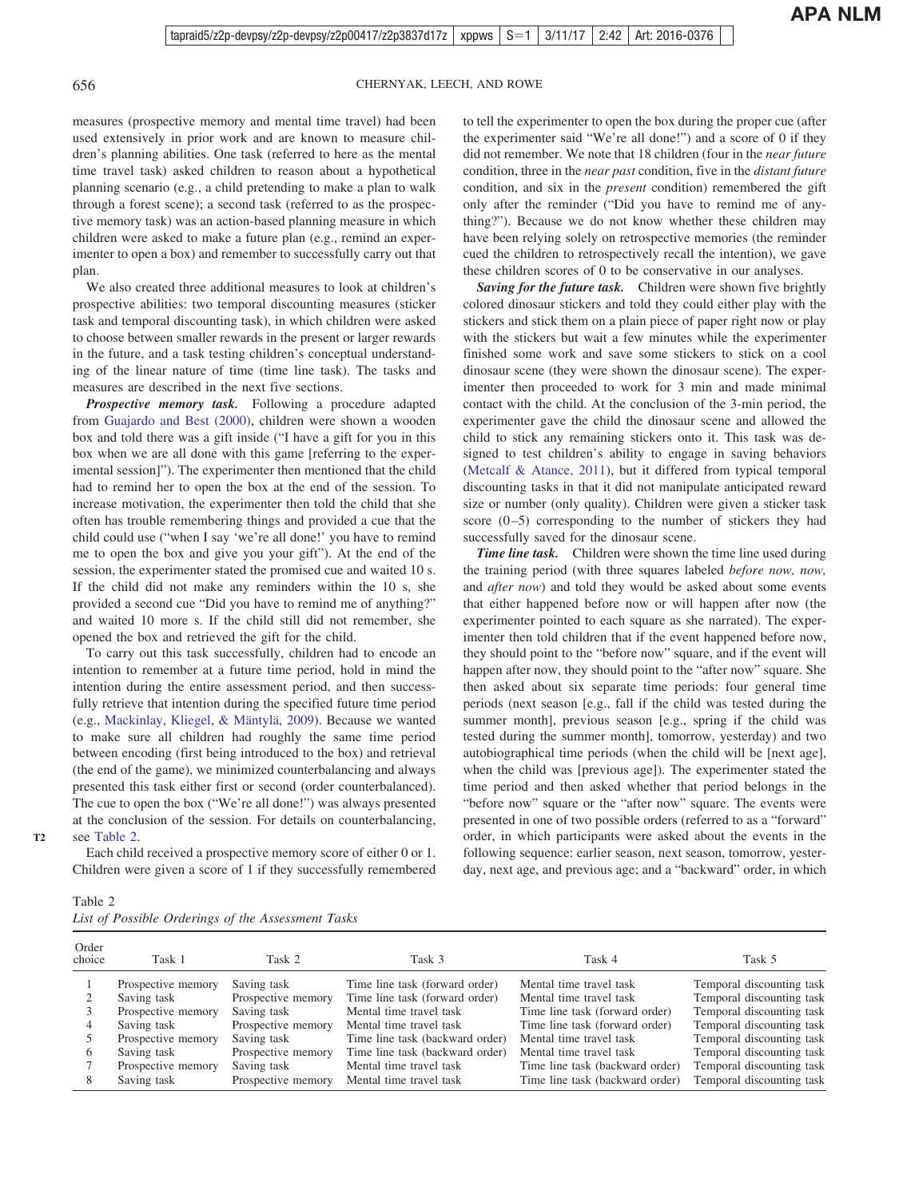# 656 CHERNYAK, LEECH, AND ROWE

measures (prospective memory and mental time travel) had been used extensively in prior work and are known to measure children's planning abilities. One task (referred to here as the mental time travel task) asked children to reason about a hypothetical planning scenario (e.g., a child pretending to make a plan to walk through a forest scene); a second task (referred to as the prospective memory task) was an action-based planning measure in which children were asked to make a future plan (e.g., remind an experimenter to open a box) and remember to successfully carry out that plan.

We also created three additional measures to look at children's prospective abilities: two temporal discounting measures (sticker task and temporal discounting task), in which children were asked to choose between smaller rewards in the present or larger rewards in the future, and a task testing children's conceptual understanding of the linear nature of time (time line task). The tasks and measures are described in the next five sections.

*Prospective memory task.* Following a procedure adapted from [Guajardo and Best \(2000\),](#page-8-3) children were shown a wooden box and told there was a gift inside ("I have a gift for you in this box when we are all done with this game [referring to the experimental session]"). The experimenter then mentioned that the child had to remind her to open the box at the end of the session. To increase motivation, the experimenter then told the child that she often has trouble remembering things and provided a cue that the child could use ("when I say 'we're all done!' you have to remind me to open the box and give you your gift"). At the end of the session, the experimenter stated the promised cue and waited 10 s. If the child did not make any reminders within the 10 s, she provided a second cue "Did you have to remind me of anything?" and waited 10 more s. If the child still did not remember, she opened the box and retrieved the gift for the child.

To carry out this task successfully, children had to encode an intention to remember at a future time period, hold in mind the intention during the entire assessment period, and then successfully retrieve that intention during the specified future time period (e.g., [Mackinlay, Kliegel, & Mäntylä, 2009\)](#page-9-20). Because we wanted to make sure all children had roughly the same time period between encoding (first being introduced to the box) and retrieval (the end of the game), we minimized counterbalancing and always presented this task either first or second (order counterbalanced). The cue to open the box ("We're all done!") was always presented at the conclusion of the session. For details on counterbalancing, see [Table 2.](#page-4-0)

Each child received a prospective memory score of either 0 or 1. Children were given a score of 1 if they successfully remembered

to tell the experimenter to open the box during the proper cue (after the experimenter said "We're all done!") and a score of 0 if they did not remember. We note that 18 children (four in the *near future* condition, three in the *near past* condition, five in the *distant future* condition, and six in the *present* condition) remembered the gift only after the reminder ("Did you have to remind me of anything?"). Because we do not know whether these children may have been relying solely on retrospective memories (the reminder cued the children to retrospectively recall the intention), we gave these children scores of 0 to be conservative in our analyses.

*Saving for the future task.* Children were shown five brightly colored dinosaur stickers and told they could either play with the stickers and stick them on a plain piece of paper right now or play with the stickers but wait a few minutes while the experimenter finished some work and save some stickers to stick on a cool dinosaur scene (they were shown the dinosaur scene). The experimenter then proceeded to work for 3 min and made minimal contact with the child. At the conclusion of the 3-min period, the experimenter gave the child the dinosaur scene and allowed the child to stick any remaining stickers onto it. This task was designed to test children's ability to engage in saving behaviors [\(Metcalf & Atance, 2011\)](#page-9-21), but it differed from typical temporal discounting tasks in that it did not manipulate anticipated reward size or number (only quality). Children were given a sticker task score  $(0-5)$  corresponding to the number of stickers they had successfully saved for the dinosaur scene.

*Time line task.* Children were shown the time line used during the training period (with three squares labeled *before now, now,* and *after now*) and told they would be asked about some events that either happened before now or will happen after now (the experimenter pointed to each square as she narrated). The experimenter then told children that if the event happened before now, they should point to the "before now" square, and if the event will happen after now, they should point to the "after now" square. She then asked about six separate time periods: four general time periods (next season [e.g., fall if the child was tested during the summer month], previous season [e.g., spring if the child was tested during the summer month], tomorrow, yesterday) and two autobiographical time periods (when the child will be [next age], when the child was [previous age]). The experimenter stated the time period and then asked whether that period belongs in the "before now" square or the "after now" square. The events were presented in one of two possible orders (referred to as a "forward" order, in which participants were asked about the events in the following sequence: earlier season, next season, tomorrow, yesterday, next age, and previous age; and a "backward" order, in which

<span id="page-4-0"></span>

| ante |  |
|------|--|
|------|--|

This article is intended solely for the personal use of the individual user and is not to be disseminated broadly.

**T2**

|  |  |  |  |  | List of Possible Orderings of the Assessment Tasks |  |
|--|--|--|--|--|----------------------------------------------------|--|
|--|--|--|--|--|----------------------------------------------------|--|

| Order<br>choice | Task 1             | Task 2             | Task 3                          | Task 4                          | Task 5                    |
|-----------------|--------------------|--------------------|---------------------------------|---------------------------------|---------------------------|
|                 | Prospective memory | Saving task        | Time line task (forward order)  | Mental time travel task         | Temporal discounting task |
|                 | Saving task        | Prospective memory | Time line task (forward order)  | Mental time travel task         | Temporal discounting task |
|                 | Prospective memory | Saving task        | Mental time travel task         | Time line task (forward order)  | Temporal discounting task |
|                 | Saving task        | Prospective memory | Mental time travel task         | Time line task (forward order)  | Temporal discounting task |
|                 | Prospective memory | Saving task        | Time line task (backward order) | Mental time travel task         | Temporal discounting task |
| <sub>(</sub>    | Saving task        | Prospective memory | Time line task (backward order) | Mental time travel task         | Temporal discounting task |
|                 | Prospective memory | Saving task        | Mental time travel task         | Time line task (backward order) | Temporal discounting task |
|                 | Saving task        | Prospective memory | Mental time travel task         | Time line task (backward order) | Temporal discounting task |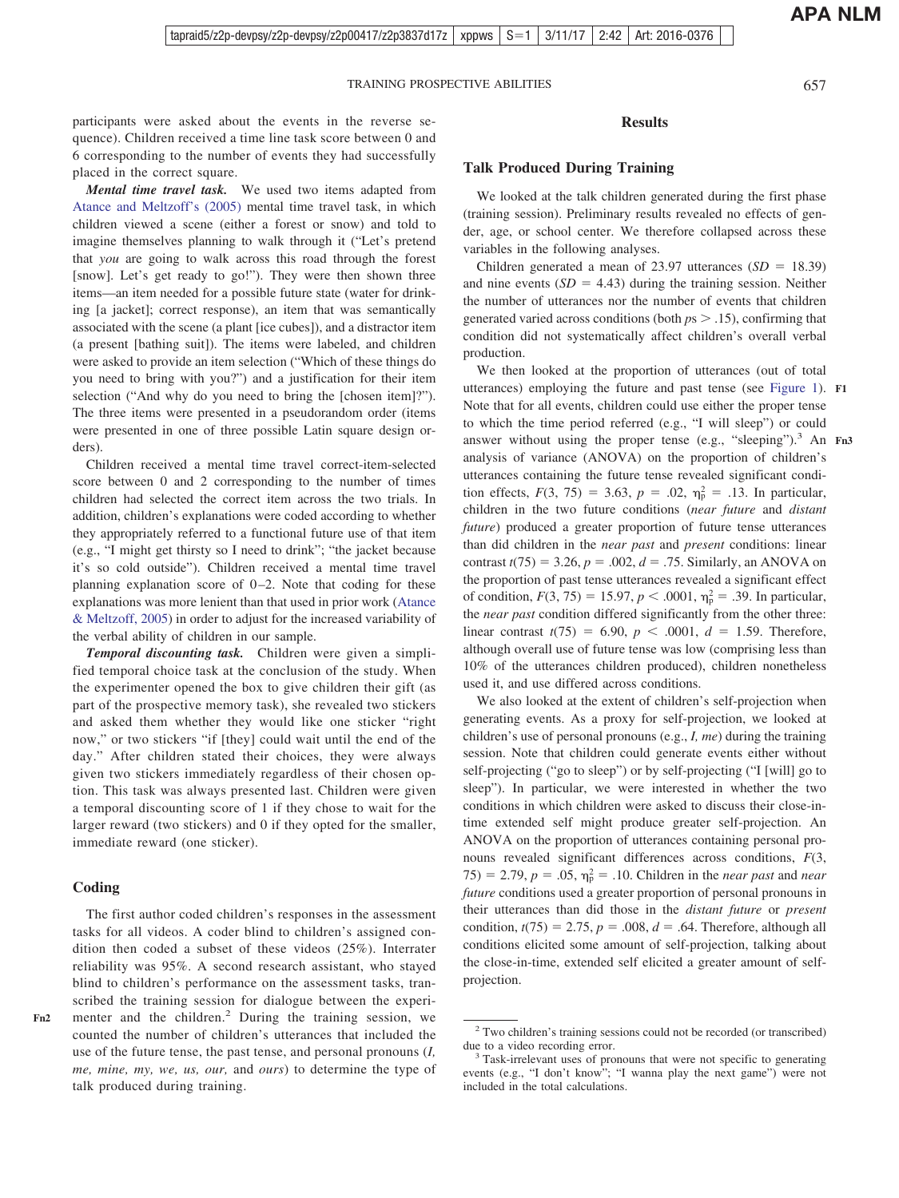participants were asked about the events in the reverse sequence). Children received a time line task score between 0 and 6 corresponding to the number of events they had successfully placed in the correct square.

*Mental time travel task.* We used two items adapted from [Atance and Meltzoff's \(2005\)](#page-8-6) mental time travel task, in which children viewed a scene (either a forest or snow) and told to imagine themselves planning to walk through it ("Let's pretend that *you* are going to walk across this road through the forest [snow]. Let's get ready to go!"). They were then shown three items—an item needed for a possible future state (water for drinking [a jacket]; correct response), an item that was semantically associated with the scene (a plant [ice cubes]), and a distractor item (a present [bathing suit]). The items were labeled, and children were asked to provide an item selection ("Which of these things do you need to bring with you?") and a justification for their item selection ("And why do you need to bring the [chosen item]?"). The three items were presented in a pseudorandom order (items were presented in one of three possible Latin square design orders).

Children received a mental time travel correct-item-selected score between 0 and 2 corresponding to the number of times children had selected the correct item across the two trials. In addition, children's explanations were coded according to whether they appropriately referred to a functional future use of that item (e.g., "I might get thirsty so I need to drink"; "the jacket because it's so cold outside"). Children received a mental time travel planning explanation score of  $0-2$ . Note that coding for these explanations was more lenient than that used in prior work [\(Atance](#page-8-6) [& Meltzoff, 2005\)](#page-8-6) in order to adjust for the increased variability of the verbal ability of children in our sample.

*Temporal discounting task.* Children were given a simplified temporal choice task at the conclusion of the study. When the experimenter opened the box to give children their gift (as part of the prospective memory task), she revealed two stickers and asked them whether they would like one sticker "right now," or two stickers "if [they] could wait until the end of the day." After children stated their choices, they were always given two stickers immediately regardless of their chosen option. This task was always presented last. Children were given a temporal discounting score of 1 if they chose to wait for the larger reward (two stickers) and 0 if they opted for the smaller, immediate reward (one sticker).

# **Coding**

**Fn2**

The first author coded children's responses in the assessment tasks for all videos. A coder blind to children's assigned condition then coded a subset of these videos (25%). Interrater reliability was 95%. A second research assistant, who stayed blind to children's performance on the assessment tasks, transcribed the training session for dialogue between the experimenter and the children.<sup>2</sup> During the training session, we counted the number of children's utterances that included the use of the future tense, the past tense, and personal pronouns (*I, me, mine, my, we, us, our,* and *ours*) to determine the type of talk produced during training.

# **Results**

# **Talk Produced During Training**

We looked at the talk children generated during the first phase (training session). Preliminary results revealed no effects of gender, age, or school center. We therefore collapsed across these variables in the following analyses.

Children generated a mean of 23.97 utterances  $(SD = 18.39)$ and nine events  $(SD = 4.43)$  during the training session. Neither the number of utterances nor the number of events that children generated varied across conditions (both *p*s .15), confirming that condition did not systematically affect children's overall verbal production.

We then looked at the proportion of utterances (out of total utterances) employing the future and past tense (see [Figure 1\)](#page-6-0). **F1** Note that for all events, children could use either the proper tense to which the time period referred (e.g., "I will sleep") or could answer without using the proper tense (e.g., "sleeping").<sup>3</sup> An Fn3 analysis of variance (ANOVA) on the proportion of children's utterances containing the future tense revealed significant condition effects,  $F(3, 75) = 3.63$ ,  $p = .02$ ,  $\eta_p^2 = .13$ . In particular, children in the two future conditions (*near future* and *distant future*) produced a greater proportion of future tense utterances than did children in the *near past* and *present* conditions: linear contrast  $t(75) = 3.26$ ,  $p = .002$ ,  $d = .75$ . Similarly, an ANOVA on the proportion of past tense utterances revealed a significant effect of condition,  $F(3, 75) = 15.97$ ,  $p < .0001$ ,  $\eta_p^2 = .39$ . In particular, the *near past* condition differed significantly from the other three: linear contrast  $t(75) = 6.90, p < .0001, d = 1.59$ . Therefore, although overall use of future tense was low (comprising less than 10% of the utterances children produced), children nonetheless used it, and use differed across conditions.

We also looked at the extent of children's self-projection when generating events. As a proxy for self-projection, we looked at children's use of personal pronouns (e.g., *I, me*) during the training session. Note that children could generate events either without self-projecting ("go to sleep") or by self-projecting ("I [will] go to sleep"). In particular, we were interested in whether the two conditions in which children were asked to discuss their close-intime extended self might produce greater self-projection. An ANOVA on the proportion of utterances containing personal pronouns revealed significant differences across conditions, *F*(3,  $(75) = 2.79, p = .05, \eta_{p}^{2} = .10$ . Children in the *near past* and *near future* conditions used a greater proportion of personal pronouns in their utterances than did those in the *distant future* or *present* condition,  $t(75) = 2.75$ ,  $p = .008$ ,  $d = .64$ . Therefore, although all conditions elicited some amount of self-projection, talking about the close-in-time, extended self elicited a greater amount of selfprojection.

<sup>2</sup> Two children's training sessions could not be recorded (or transcribed) due to a video recording error.<br><sup>3</sup> Task-irrelevant uses of pronouns that were not specific to generating

events (e.g., "I don't know"; "I wanna play the next game") were not included in the total calculations.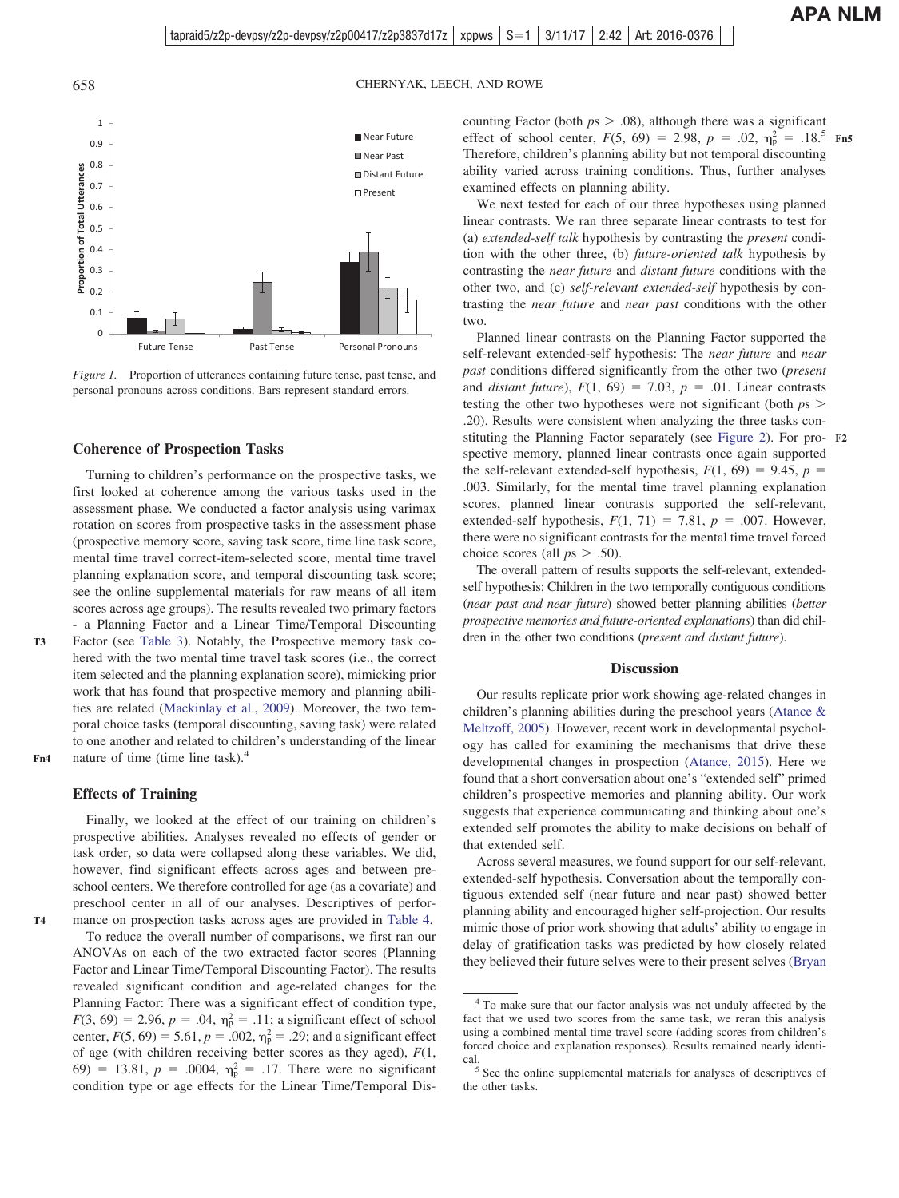658 CHERNYAK, LEECH, AND ROWE



<span id="page-6-0"></span>*Figure 1.* Proportion of utterances containing future tense, past tense, and personal pronouns across conditions. Bars represent standard errors.

#### **Coherence of Prospection Tasks**

Turning to children's performance on the prospective tasks, we first looked at coherence among the various tasks used in the assessment phase. We conducted a factor analysis using varimax rotation on scores from prospective tasks in the assessment phase (prospective memory score, saving task score, time line task score, mental time travel correct-item-selected score, mental time travel planning explanation score, and temporal discounting task score; see the online supplemental materials for raw means of all item scores across age groups). The results revealed two primary factors - a Planning Factor and a Linear Time/Temporal Discounting Factor (see [Table 3\)](#page-7-0). Notably, the Prospective memory task co-

hered with the two mental time travel task scores (i.e., the correct item selected and the planning explanation score), mimicking prior work that has found that prospective memory and planning abilities are related [\(Mackinlay et al., 2009\)](#page-9-20). Moreover, the two temporal choice tasks (temporal discounting, saving task) were related to one another and related to children's understanding of the linear nature of time (time line task).<sup>4</sup> **Fn4**

#### **Effects of Training**

This is interested in the personal use of the personal user and is not to be disseminated by the individual user and is not to be disseminated by  $\mathbf{F}$ 

**T3**

**T4**

Finally, we looked at the effect of our training on children's prospective abilities. Analyses revealed no effects of gender or task order, so data were collapsed along these variables. We did, however, find significant effects across ages and between preschool centers. We therefore controlled for age (as a covariate) and preschool center in all of our analyses. Descriptives of performance on prospection tasks across ages are provided in [Table 4.](#page-7-1)

To reduce the overall number of comparisons, we first ran our ANOVAs on each of the two extracted factor scores (Planning Factor and Linear Time/Temporal Discounting Factor). The results revealed significant condition and age-related changes for the Planning Factor: There was a significant effect of condition type,  $F(3, 69) = 2.96, p = .04, \eta_p^2 = .11$ ; a significant effect of school center,  $F(5, 69) = 5.61$ ,  $p = .002$ ,  $\eta_p^2 = .29$ ; and a significant effect of age (with children receiving better scores as they aged), *F*(1, 69) = 13.81,  $p = .0004$ ,  $\eta_p^2 = .17$ . There were no significant condition type or age effects for the Linear Time/Temporal Discounting Factor (both  $ps > .08$ ), although there was a significant effect of school center,  $F(5, 69) = 2.98$ ,  $p = .02$ ,  $\eta_p^2 = .18$ <sup>5</sup> Fn5 Therefore, children's planning ability but not temporal discounting ability varied across training conditions. Thus, further analyses examined effects on planning ability.

We next tested for each of our three hypotheses using planned linear contrasts. We ran three separate linear contrasts to test for (a) *extended-self talk* hypothesis by contrasting the *present* condition with the other three, (b) *future-oriented talk* hypothesis by contrasting the *near future* and *distant future* conditions with the other two, and (c) *self-relevant extended-self* hypothesis by contrasting the *near future* and *near past* conditions with the other two.

Planned linear contrasts on the Planning Factor supported the self-relevant extended-self hypothesis: The *near future* and *near past* conditions differed significantly from the other two (*present* and *distant future*),  $F(1, 69) = 7.03$ ,  $p = .01$ . Linear contrasts testing the other two hypotheses were not significant (both *p*s .20). Results were consistent when analyzing the three tasks constituting the Planning Factor separately (see [Figure 2\)](#page-8-15). For pro-**F2** spective memory, planned linear contrasts once again supported the self-relevant extended-self hypothesis,  $F(1, 69) = 9.45$ ,  $p =$ .003. Similarly, for the mental time travel planning explanation scores, planned linear contrasts supported the self-relevant, extended-self hypothesis,  $F(1, 71) = 7.81$ ,  $p = .007$ . However, there were no significant contrasts for the mental time travel forced choice scores (all  $ps > .50$ ).

The overall pattern of results supports the self-relevant, extendedself hypothesis: Children in the two temporally contiguous conditions (*near past and near future*) showed better planning abilities (*better prospective memories and future-oriented explanations*) than did children in the other two conditions (*present and distant future*).

#### **Discussion**

Our results replicate prior work showing age-related changes in children's planning abilities during the preschool years [\(Atance &](#page-8-6) [Meltzoff, 2005\)](#page-8-6). However, recent work in developmental psychology has called for examining the mechanisms that drive these developmental changes in prospection [\(Atance, 2015\)](#page-8-2). Here we found that a short conversation about one's "extended self" primed children's prospective memories and planning ability. Our work suggests that experience communicating and thinking about one's extended self promotes the ability to make decisions on behalf of that extended self.

Across several measures, we found support for our self-relevant, extended-self hypothesis. Conversation about the temporally contiguous extended self (near future and near past) showed better planning ability and encouraged higher self-projection. Our results mimic those of prior work showing that adults' ability to engage in delay of gratification tasks was predicted by how closely related they believed their future selves were to their present selves [\(Bryan](#page-8-12)

<sup>4</sup> To make sure that our factor analysis was not unduly affected by the fact that we used two scores from the same task, we reran this analysis using a combined mental time travel score (adding scores from children's forced choice and explanation responses). Results remained nearly identi-

cal.5 See the online supplemental materials for analyses of descriptives of the other tasks.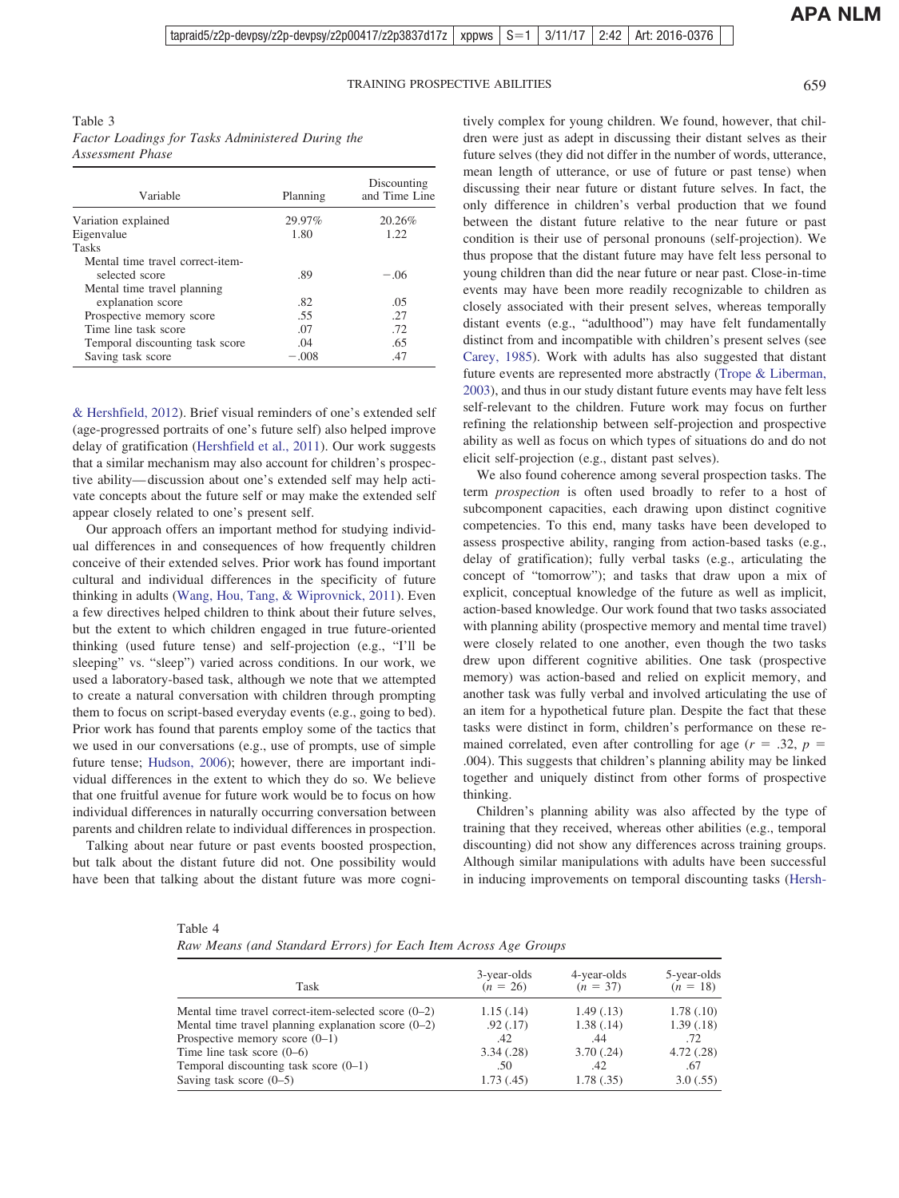<span id="page-7-0"></span>Table 3 *Factor Loadings for Tasks Administered During the Assessment Phase*

| Variable                         | Planning | Discounting<br>and Time Line |
|----------------------------------|----------|------------------------------|
| Variation explained              | 29.97%   | 20.26%                       |
| Eigenvalue                       | 1.80     | 1.22.                        |
| <b>Tasks</b>                     |          |                              |
| Mental time travel correct-item- |          |                              |
| selected score                   | .89      | $-.06$                       |
| Mental time travel planning      |          |                              |
| explanation score                | .82      | .05                          |
| Prospective memory score         | .55      | .27                          |
| Time line task score             | .07      | .72                          |
| Temporal discounting task score  | .04      | .65                          |
| Saving task score                | $-.008$  | .47                          |

[& Hershfield, 2012\)](#page-8-12). Brief visual reminders of one's extended self (age-progressed portraits of one's future self) also helped improve delay of gratification [\(Hershfield et al., 2011\)](#page-9-17). Our work suggests that a similar mechanism may also account for children's prospective ability— discussion about one's extended self may help activate concepts about the future self or may make the extended self appear closely related to one's present self.

Our approach offers an important method for studying individual differences in and consequences of how frequently children conceive of their extended selves. Prior work has found important cultural and individual differences in the specificity of future thinking in adults [\(Wang, Hou, Tang, & Wiprovnick, 2011\)](#page-9-22). Even a few directives helped children to think about their future selves, but the extent to which children engaged in true future-oriented thinking (used future tense) and self-projection (e.g., "I'll be sleeping" vs. "sleep") varied across conditions. In our work, we used a laboratory-based task, although we note that we attempted to create a natural conversation with children through prompting them to focus on script-based everyday events (e.g., going to bed). Prior work has found that parents employ some of the tactics that we used in our conversations (e.g., use of prompts, use of simple future tense; [Hudson, 2006\)](#page-9-13); however, there are important individual differences in the extent to which they do so. We believe that one fruitful avenue for future work would be to focus on how individual differences in naturally occurring conversation between parents and children relate to individual differences in prospection.

Talking about near future or past events boosted prospection, but talk about the distant future did not. One possibility would have been that talking about the distant future was more cogni-

tively complex for young children. We found, however, that children were just as adept in discussing their distant selves as their future selves (they did not differ in the number of words, utterance, mean length of utterance, or use of future or past tense) when discussing their near future or distant future selves. In fact, the only difference in children's verbal production that we found between the distant future relative to the near future or past condition is their use of personal pronouns (self-projection). We thus propose that the distant future may have felt less personal to young children than did the near future or near past. Close-in-time events may have been more readily recognizable to children as closely associated with their present selves, whereas temporally distant events (e.g., "adulthood") may have felt fundamentally distinct from and incompatible with children's present selves (see [Carey, 1985\)](#page-8-13). Work with adults has also suggested that distant future events are represented more abstractly [\(Trope & Liberman,](#page-9-23) [2003\)](#page-9-23), and thus in our study distant future events may have felt less self-relevant to the children. Future work may focus on further refining the relationship between self-projection and prospective ability as well as focus on which types of situations do and do not elicit self-projection (e.g., distant past selves).

We also found coherence among several prospection tasks. The term *prospection* is often used broadly to refer to a host of subcomponent capacities, each drawing upon distinct cognitive competencies. To this end, many tasks have been developed to assess prospective ability, ranging from action-based tasks (e.g., delay of gratification); fully verbal tasks (e.g., articulating the concept of "tomorrow"); and tasks that draw upon a mix of explicit, conceptual knowledge of the future as well as implicit, action-based knowledge. Our work found that two tasks associated with planning ability (prospective memory and mental time travel) were closely related to one another, even though the two tasks drew upon different cognitive abilities. One task (prospective memory) was action-based and relied on explicit memory, and another task was fully verbal and involved articulating the use of an item for a hypothetical future plan. Despite the fact that these tasks were distinct in form, children's performance on these remained correlated, even after controlling for age  $(r = .32, p = )$ .004). This suggests that children's planning ability may be linked together and uniquely distinct from other forms of prospective thinking.

Children's planning ability was also affected by the type of training that they received, whereas other abilities (e.g., temporal discounting) did not show any differences across training groups. Although similar manipulations with adults have been successful in inducing improvements on temporal discounting tasks [\(Hersh-](#page-9-15)

<span id="page-7-1"></span>

| Table 4                                                         |  |
|-----------------------------------------------------------------|--|
| Raw Means (and Standard Errors) for Each Item Across Age Groups |  |

| Task                                                   | 3-year-olds<br>$(n = 26)$ | 4-year-olds<br>$(n = 37)$ | 5-year-olds<br>$(n = 18)$ |
|--------------------------------------------------------|---------------------------|---------------------------|---------------------------|
| Mental time travel correct-item-selected score $(0-2)$ | 1.15(.14)                 | 1.49(0.13)                | 1.78(0.10)                |
| Mental time travel planning explanation score $(0-2)$  | .92(0.17)                 | 1.38(0.14)                | 1.39(0.18)                |
| Prospective memory score $(0-1)$                       | .42                       | .44                       | .72                       |
| Time line task score $(0-6)$                           | 3.34(.28)                 | 3.70(.24)                 | 4.72(.28)                 |
| Temporal discounting task score $(0-1)$                | .50                       | .42                       | .67                       |
| Saving task score $(0-5)$                              | 1.73(0.45)                | 1.78(.35)                 | 3.0(.55)                  |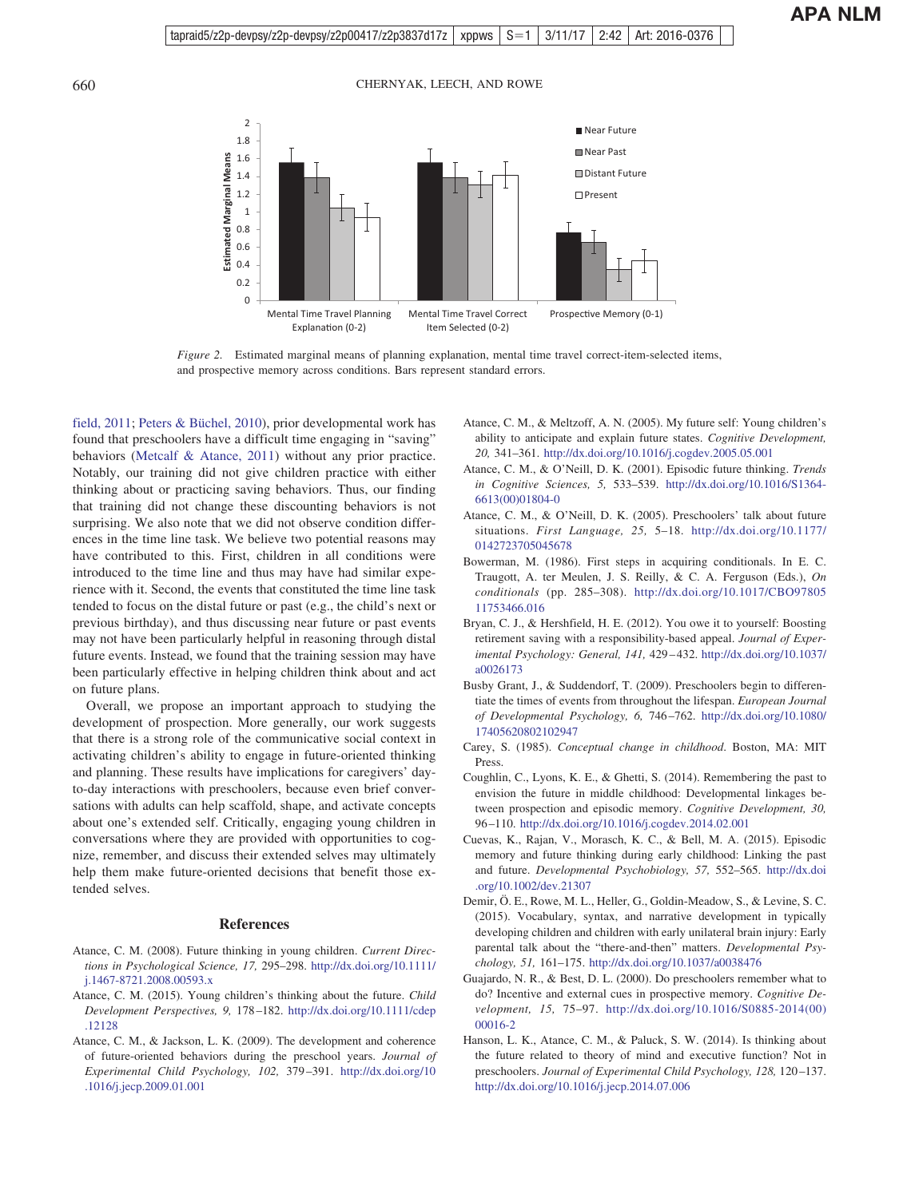

<span id="page-8-15"></span>*Figure 2.* Estimated marginal means of planning explanation, mental time travel correct-item-selected items, and prospective memory across conditions. Bars represent standard errors.

[field, 2011;](#page-9-15) [Peters & Büchel, 2010\)](#page-9-24), prior developmental work has found that preschoolers have a difficult time engaging in "saving" behaviors [\(Metcalf & Atance, 2011\)](#page-9-21) without any prior practice. Notably, our training did not give children practice with either thinking about or practicing saving behaviors. Thus, our finding that training did not change these discounting behaviors is not surprising. We also note that we did not observe condition differences in the time line task. We believe two potential reasons may have contributed to this. First, children in all conditions were introduced to the time line and thus may have had similar experience with it. Second, the events that constituted the time line task tended to focus on the distal future or past (e.g., the child's next or previous birthday), and thus discussing near future or past events may not have been particularly helpful in reasoning through distal future events. Instead, we found that the training session may have been particularly effective in helping children think about and act on future plans.

Overall, we propose an important approach to studying the development of prospection. More generally, our work suggests that there is a strong role of the communicative social context in activating children's ability to engage in future-oriented thinking and planning. These results have implications for caregivers' dayto-day interactions with preschoolers, because even brief conversations with adults can help scaffold, shape, and activate concepts about one's extended self. Critically, engaging young children in conversations where they are provided with opportunities to cognize, remember, and discuss their extended selves may ultimately help them make future-oriented decisions that benefit those extended selves.

#### **References**

- <span id="page-8-1"></span>Atance, C. M. (2008). Future thinking in young children. *Current Directions in Psychological Science, 17,* 295–298. [http://dx.doi.org/10.1111/](http://dx.doi.org/10.1111/j.1467-8721.2008.00593.x) [j.1467-8721.2008.00593.x](http://dx.doi.org/10.1111/j.1467-8721.2008.00593.x)
- <span id="page-8-2"></span>Atance, C. M. (2015). Young children's thinking about the future. *Child Development Perspectives, 9,* 178 –182. [http://dx.doi.org/10.1111/cdep](http://dx.doi.org/10.1111/cdep.12128) [.12128](http://dx.doi.org/10.1111/cdep.12128)
- <span id="page-8-7"></span>Atance, C. M., & Jackson, L. K. (2009). The development and coherence of future-oriented behaviors during the preschool years. *Journal of Experimental Child Psychology, 102,* 379 –391. [http://dx.doi.org/10](http://dx.doi.org/10.1016/j.jecp.2009.01.001) [.1016/j.jecp.2009.01.001](http://dx.doi.org/10.1016/j.jecp.2009.01.001)
- <span id="page-8-6"></span>Atance, C. M., & Meltzoff, A. N. (2005). My future self: Young children's ability to anticipate and explain future states. *Cognitive Development, 20,* 341–361. <http://dx.doi.org/10.1016/j.cogdev.2005.05.001>
- <span id="page-8-0"></span>Atance, C. M., & O'Neill, D. K. (2001). Episodic future thinking. *Trends in Cognitive Sciences, 5,* 533–539. [http://dx.doi.org/10.1016/S1364-](http://dx.doi.org/10.1016/S1364-6613%2800%2901804-0) [6613\(00\)01804-0](http://dx.doi.org/10.1016/S1364-6613%2800%2901804-0)
- <span id="page-8-5"></span>Atance, C. M., & O'Neill, D. K. (2005). Preschoolers' talk about future situations. *First Language, 25,* 5–18. [http://dx.doi.org/10.1177/](http://dx.doi.org/10.1177/0142723705045678) [0142723705045678](http://dx.doi.org/10.1177/0142723705045678)
- <span id="page-8-4"></span>Bowerman, M. (1986). First steps in acquiring conditionals. In E. C. Traugott, A. ter Meulen, J. S. Reilly, & C. A. Ferguson (Eds.), *On conditionals* (pp. 285–308). [http://dx.doi.org/10.1017/CBO97805](http://dx.doi.org/10.1017/CBO9780511753466.016) [11753466.016](http://dx.doi.org/10.1017/CBO9780511753466.016)
- <span id="page-8-12"></span>Bryan, C. J., & Hershfield, H. E. (2012). You owe it to yourself: Boosting retirement saving with a responsibility-based appeal. *Journal of Experimental Psychology: General, 141,* 429 – 432. [http://dx.doi.org/10.1037/](http://dx.doi.org/10.1037/a0026173) [a0026173](http://dx.doi.org/10.1037/a0026173)
- <span id="page-8-14"></span>Busby Grant, J., & Suddendorf, T. (2009). Preschoolers begin to differentiate the times of events from throughout the lifespan. *European Journal of Developmental Psychology, 6,* 746 –762. [http://dx.doi.org/10.1080/](http://dx.doi.org/10.1080/17405620802102947) [17405620802102947](http://dx.doi.org/10.1080/17405620802102947)
- <span id="page-8-13"></span>Carey, S. (1985). *Conceptual change in childhood*. Boston, MA: MIT Press.
- <span id="page-8-9"></span>Coughlin, C., Lyons, K. E., & Ghetti, S. (2014). Remembering the past to envision the future in middle childhood: Developmental linkages between prospection and episodic memory. *Cognitive Development, 30,* 96 –110. <http://dx.doi.org/10.1016/j.cogdev.2014.02.001>
- <span id="page-8-10"></span>Cuevas, K., Rajan, V., Morasch, K. C., & Bell, M. A. (2015). Episodic memory and future thinking during early childhood: Linking the past and future. *Developmental Psychobiology, 57,* 552–565. [http://dx.doi](http://dx.doi.org/10.1002/dev.21307) [.org/10.1002/dev.21307](http://dx.doi.org/10.1002/dev.21307)
- <span id="page-8-11"></span>Demir, Ö. E., Rowe, M. L., Heller, G., Goldin-Meadow, S., & Levine, S. C. (2015). Vocabulary, syntax, and narrative development in typically developing children and children with early unilateral brain injury: Early parental talk about the "there-and-then" matters. *Developmental Psychology, 51,* 161–175. <http://dx.doi.org/10.1037/a0038476>
- <span id="page-8-3"></span>Guajardo, N. R., & Best, D. L. (2000). Do preschoolers remember what to do? Incentive and external cues in prospective memory. *Cognitive Development, 15,* 75–97. [http://dx.doi.org/10.1016/S0885-2014\(00\)](http://dx.doi.org/10.1016/S0885-2014%2800%2900016-2) [00016-2](http://dx.doi.org/10.1016/S0885-2014%2800%2900016-2)
- <span id="page-8-8"></span>Hanson, L. K., Atance, C. M., & Paluck, S. W. (2014). Is thinking about the future related to theory of mind and executive function? Not in preschoolers. *Journal of Experimental Child Psychology, 128,* 120 –137. <http://dx.doi.org/10.1016/j.jecp.2014.07.006>